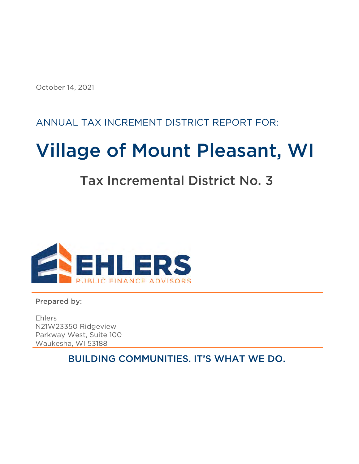October 14, 2021

### ANNUAL TAX INCREMENT DISTRICT REPORT FOR:

# Village of Mount Pleasant, WI

## Tax Incremental District No. 3



Prepared by:

Ehlers N21W23350 Ridgeview Parkway West, Suite 100 Waukesha, WI 53188

BUILDING COMMUNITIES. IT'S WHAT WE DO.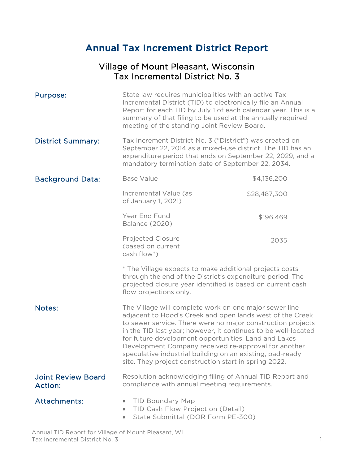### Annual Tax Increment District Report

#### Village of Mount Pleasant, Wisconsin Tax Incremental District No. 3

| Purpose:                                    | State law requires municipalities with an active Tax<br>Incremental District (TID) to electronically file an Annual<br>Report for each TID by July 1 of each calendar year. This is a<br>summary of that filing to be used at the annually required<br>meeting of the standing Joint Review Board.                                                                                                                                                                                         |              |  |  |  |  |
|---------------------------------------------|--------------------------------------------------------------------------------------------------------------------------------------------------------------------------------------------------------------------------------------------------------------------------------------------------------------------------------------------------------------------------------------------------------------------------------------------------------------------------------------------|--------------|--|--|--|--|
| <b>District Summary:</b>                    | Tax Increment District No. 3 ("District") was created on<br>September 22, 2014 as a mixed-use district. The TID has an<br>expenditure period that ends on September 22, 2029, and a<br>mandatory termination date of September 22, 2034.                                                                                                                                                                                                                                                   |              |  |  |  |  |
| <b>Background Data:</b>                     | <b>Base Value</b>                                                                                                                                                                                                                                                                                                                                                                                                                                                                          | \$4,136,200  |  |  |  |  |
|                                             | Incremental Value (as<br>of January 1, 2021)                                                                                                                                                                                                                                                                                                                                                                                                                                               | \$28,487,300 |  |  |  |  |
|                                             | Year End Fund<br><b>Balance (2020)</b>                                                                                                                                                                                                                                                                                                                                                                                                                                                     | \$196,469    |  |  |  |  |
|                                             | <b>Projected Closure</b><br>(based on current<br>cash flow*)                                                                                                                                                                                                                                                                                                                                                                                                                               | 2035         |  |  |  |  |
|                                             | * The Village expects to make additional projects costs<br>through the end of the District's expenditure period. The<br>projected closure year identified is based on current cash<br>flow projections only.                                                                                                                                                                                                                                                                               |              |  |  |  |  |
| Notes:                                      | The Village will complete work on one major sewer line<br>adjacent to Hood's Creek and open lands west of the Creek<br>to sewer service. There were no major construction projects<br>in the TID last year; however, it continues to be well-located<br>for future development opportunities. Land and Lakes<br>Development Company received re-approval for another<br>speculative industrial building on an existing, pad-ready<br>site. They project construction start in spring 2022. |              |  |  |  |  |
| <b>Joint Review Board</b><br><b>Action:</b> | Resolution acknowledging filing of Annual TID Report and<br>compliance with annual meeting requirements.                                                                                                                                                                                                                                                                                                                                                                                   |              |  |  |  |  |
| <b>Attachments:</b>                         | <b>TID Boundary Map</b><br>TID Cash Flow Projection (Detail)<br>State Submittal (DOR Form PE-300)<br>$\bullet$                                                                                                                                                                                                                                                                                                                                                                             |              |  |  |  |  |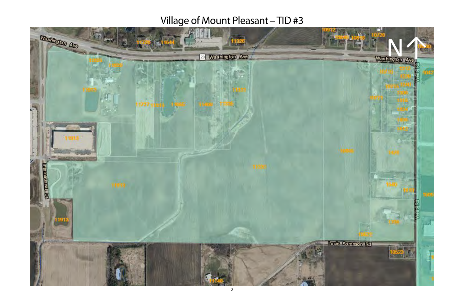# Village of Mount Pleasant - TID #3

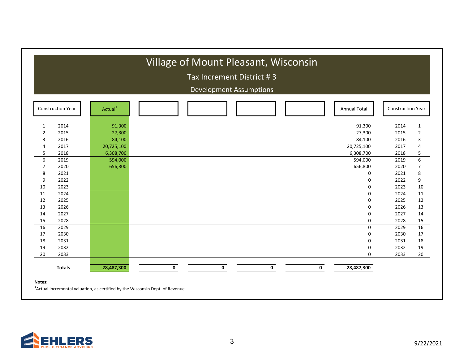|                |                          |                     |             | Tax Increment District #3 | <b>Development Assumptions</b> |   |   |                     |                          |                |
|----------------|--------------------------|---------------------|-------------|---------------------------|--------------------------------|---|---|---------------------|--------------------------|----------------|
|                | <b>Construction Year</b> | Actual <sup>1</sup> |             |                           |                                |   |   | <b>Annual Total</b> | <b>Construction Year</b> |                |
| $\mathbf{1}$   | 2014                     | 91,300              |             |                           |                                |   |   | 91,300              | 2014                     | $\mathbf{1}$   |
| 2              | 2015                     | 27,300              |             |                           |                                |   |   | 27,300              | 2015                     | $\overline{2}$ |
| 3              | 2016                     | 84,100              |             |                           |                                |   |   | 84,100              | 2016                     | 3              |
| 4              | 2017                     | 20,725,100          |             |                           |                                |   |   | 20,725,100          | 2017                     | 4              |
| 5              | 2018                     | 6,308,700           |             |                           |                                |   |   | 6,308,700           | 2018                     | 5              |
| 6              | 2019                     | 594,000             |             |                           |                                |   |   | 594,000             | 2019                     | 6              |
| $\overline{7}$ | 2020                     | 656,800             |             |                           |                                |   |   | 656,800             | 2020                     | $\overline{7}$ |
| 8              | 2021                     |                     |             |                           |                                |   |   | 0                   | 2021                     | 8              |
| 9              | 2022                     |                     |             |                           |                                |   |   | 0                   | 2022                     | 9              |
| 10             | 2023                     |                     |             |                           |                                |   |   | 0                   | 2023                     | 10             |
| 11             | 2024                     |                     |             |                           |                                |   |   | 0                   | 2024                     | 11             |
| 12             | 2025                     |                     |             |                           |                                |   |   | 0                   | 2025                     | 12             |
| 13             | 2026                     |                     |             |                           |                                |   |   | 0                   | 2026                     | 13             |
| 14             | 2027                     |                     |             |                           |                                |   |   | 0                   | 2027                     | 14             |
| 15             | 2028                     |                     |             |                           |                                |   |   | 0                   | 2028                     | 15             |
| 16             | 2029                     |                     |             |                           |                                |   |   | 0                   | 2029                     | 16             |
| 17             | 2030                     |                     |             |                           |                                |   |   | 0                   | 2030                     | 17             |
| 18             | 2031                     |                     |             |                           |                                |   |   | 0                   | 2031                     | 18             |
| 19             | 2032                     |                     |             |                           |                                |   |   | 0                   | 2032                     | 19             |
| 20             | 2033                     |                     |             |                           |                                |   |   | 0                   | 2033                     | 20             |
|                | <b>Totals</b>            | 28,487,300          | $\mathbf 0$ |                           | $\mathbf 0$                    | 0 | 0 | 28,487,300          |                          |                |

 $^{1}$ Actual incremental valuation, as certified by the Wisconsin Dept. of Revenue.

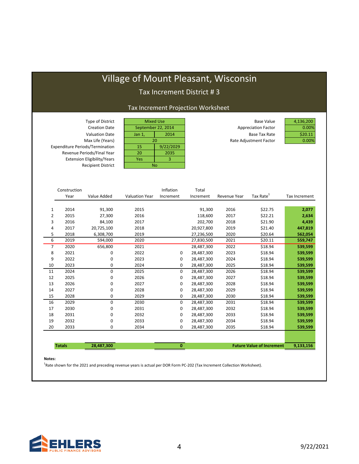### Village of Mount Pleasant, Wisconsin

#### Tax Increment District # 3

#### Tax Increment Projection Worksheet

| Type of District                       |           | <b>Mixed Use</b>   | <b>Base Value</b>          | 4,136,200 |
|----------------------------------------|-----------|--------------------|----------------------------|-----------|
| <b>Creation Date</b>                   |           | September 22, 2014 | <b>Appreciation Factor</b> | 0.00%     |
| <b>Valuation Date</b>                  | Jan $1$ , | 2014               | Base Tax Rate              | \$20.11   |
| Max Life (Years)                       |           | 20                 | Rate Adjustment Factor     | 0.00%     |
| <b>Expenditure Periods/Termination</b> | 15        | 9/22/2029          |                            |           |
| Revenue Periods/Final Year             | 20        | 2035               |                            |           |
| <b>Extension Eligibility/Years</b>     | Yes       |                    |                            |           |
| <b>Recipient District</b>              | <b>No</b> |                    |                            |           |
|                                        |           |                    |                            |           |
|                                        |           |                    |                            |           |

|    | Construction  |             |                       | Inflation    | Total      |              |                                  |               |
|----|---------------|-------------|-----------------------|--------------|------------|--------------|----------------------------------|---------------|
|    | Year          | Value Added | <b>Valuation Year</b> | Increment    | Increment  | Revenue Year | Tax Rate <sup>1</sup>            | Tax Increment |
|    |               |             |                       |              |            |              |                                  |               |
| 1  | 2014          | 91,300      | 2015                  |              | 91,300     | 2016         | \$22.75                          | 2,077         |
| 2  | 2015          | 27,300      | 2016                  |              | 118,600    | 2017         | \$22.21                          | 2,634         |
| 3  | 2016          | 84,100      | 2017                  |              | 202,700    | 2018         | \$21.90                          | 4,439         |
| 4  | 2017          | 20,725,100  | 2018                  |              | 20,927,800 | 2019         | \$21.40                          | 447,819       |
| 5  | 2018          | 6,308,700   | 2019                  |              | 27,236,500 | 2020         | \$20.64                          | 562,054       |
| 6  | 2019          | 594,000     | 2020                  |              | 27,830,500 | 2021         | \$20.11                          | 559,747       |
| 7  | 2020          | 656,800     | 2021                  |              | 28,487,300 | 2022         | \$18.94                          | 539,599       |
| 8  | 2021          | 0           | 2022                  | 0            | 28,487,300 | 2023         | \$18.94                          | 539,599       |
| 9  | 2022          | 0           | 2023                  | $\Omega$     | 28,487,300 | 2024         | \$18.94                          | 539,599       |
| 10 | 2023          | 0           | 2024                  | 0            | 28,487,300 | 2025         | \$18.94                          | 539,599       |
| 11 | 2024          | $\mathbf 0$ | 2025                  | $\Omega$     | 28,487,300 | 2026         | \$18.94                          | 539,599       |
| 12 | 2025          | 0           | 2026                  | 0            | 28,487,300 | 2027         | \$18.94                          | 539,599       |
| 13 | 2026          | 0           | 2027                  | 0            | 28,487,300 | 2028         | \$18.94                          | 539,599       |
| 14 | 2027          | 0           | 2028                  | 0            | 28,487,300 | 2029         | \$18.94                          | 539,599       |
| 15 | 2028          | 0           | 2029                  | 0            | 28,487,300 | 2030         | \$18.94                          | 539,599       |
| 16 | 2029          | 0           | 2030                  | $\mathbf 0$  | 28,487,300 | 2031         | \$18.94                          | 539,599       |
| 17 | 2030          | 0           | 2031                  | 0            | 28,487,300 | 2032         | \$18.94                          | 539,599       |
| 18 | 2031          | 0           | 2032                  | 0            | 28,487,300 | 2033         | \$18.94                          | 539,599       |
| 19 | 2032          | 0           | 2033                  | $\Omega$     | 28,487,300 | 2034         | \$18.94                          | 539,599       |
| 20 | 2033          | 0           | 2034                  | 0            | 28,487,300 | 2035         | \$18.94                          | 539,599       |
|    |               |             |                       |              |            |              |                                  |               |
|    |               |             |                       |              |            |              |                                  |               |
|    | <b>Totals</b> | 28,487,300  |                       | $\mathbf{0}$ |            |              | <b>Future Value of Increment</b> | 9,133,156     |

#### **Notes:**

<sup>1</sup>Rate shown for the 2021 and preceding revenue years is actual per DOR Form PC-202 (Tax Increment Collection Worksheet).

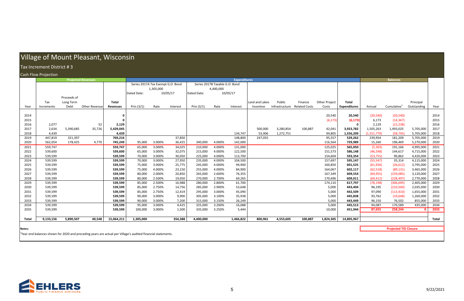## Village of Mount Pleasant, Wisconsin

#### Increment District ## 3

#### Cashh Flow w Projection

|              | Tax Increment District #3   |             |                                                                                                                          |                    |                                   |           |                  |                    |                                |                     |                   |                              |         |                      |                      |                        |                              |                        |              |
|--------------|-----------------------------|-------------|--------------------------------------------------------------------------------------------------------------------------|--------------------|-----------------------------------|-----------|------------------|--------------------|--------------------------------|---------------------|-------------------|------------------------------|---------|----------------------|----------------------|------------------------|------------------------------|------------------------|--------------|
|              | <b>Cash Flow Projection</b> |             |                                                                                                                          |                    |                                   |           |                  |                    |                                |                     |                   |                              |         |                      |                      |                        |                              |                        |              |
|              |                             |             | <b>Projected Revenues</b>                                                                                                |                    |                                   |           |                  |                    |                                | <b>Expenditures</b> |                   |                              |         |                      |                      |                        | <b>Balances</b>              |                        |              |
|              |                             |             |                                                                                                                          |                    | Series 2017A Tax Exempt G.O. Bond |           |                  |                    | Series 2017B Taxable G.O. Bond |                     |                   |                              |         |                      |                      |                        |                              |                        |              |
|              |                             |             |                                                                                                                          |                    |                                   | 1,305,000 |                  |                    | 4,400,000                      |                     |                   |                              |         |                      |                      |                        |                              |                        |              |
|              |                             |             |                                                                                                                          |                    | Dated Date:                       |           | 10/05/17         | Dated Date:        |                                | 10/05/17            |                   |                              |         |                      |                      |                        |                              |                        |              |
|              |                             | Proceeds of |                                                                                                                          |                    |                                   |           |                  |                    |                                |                     |                   |                              |         |                      |                      |                        |                              |                        |              |
|              | Tax                         | Long Term   |                                                                                                                          | <b>Total</b>       |                                   |           |                  |                    |                                |                     | Land and Lakes    | Public                       | Finance | <b>Other Project</b> | <b>Total</b>         |                        |                              | Principal              |              |
| Year         | Increments                  | Debt        | Other Revenue                                                                                                            | <b>Revenues</b>    | Prin $(3/1)$                      | Rate      | Interest         | Prin $(3/1)$       | Rate                           | Interest            | Incentive         | Infrastructure Related Costs |         | Costs                | <b>Expenditures</b>  | Annual                 | Cumulative <sup>1</sup>      | Outstanding            | Year         |
|              |                             |             |                                                                                                                          |                    |                                   |           |                  |                    |                                |                     |                   |                              |         |                      |                      |                        |                              |                        |              |
| 2014         |                             |             |                                                                                                                          | $\mathbf{0}$       |                                   |           |                  |                    |                                |                     |                   |                              |         | 20,540               | 20,540               | (20, 540)              | (20, 540)                    |                        | 2014         |
| 2015         |                             |             |                                                                                                                          | 0                  |                                   |           |                  |                    |                                |                     |                   |                              |         | (6, 173)             | (6, 173)             | 6,173                  | (14, 367)                    |                        | 2015         |
| 2016         | 2,077                       |             | 52                                                                                                                       | 2,129              |                                   |           |                  |                    |                                |                     |                   |                              |         |                      | $\mathbf 0$          | 2,129                  | (12, 238)                    |                        | 2016         |
| 2017         | 2,634                       | 5,390,685   | 35,726                                                                                                                   | 5,429,045          |                                   |           |                  |                    |                                |                     | 500,000           | 3,280,854                    | 100,887 | 42,041               | 3,923,782            | 1,505,263              | 1,493,025                    | 5,705,000              | 2017         |
| 2018<br>2019 | 4,439<br>447,819            | 321,397     |                                                                                                                          | 4,439<br>769,216   |                                   |           | 37,850           |                    |                                | 134,747<br>148,800  | 53,906<br>247,055 | 1,272,751                    |         | 94,805<br>95,557     | 1,556,209<br>529,262 | (1,551,770)<br>239,954 | (58, 745)<br>181,209         | 5,705,000              | 2018<br>2019 |
| 2020         | 562,054                     | 178,425     | 4,770                                                                                                                    | 745,249            | 95,000                            | 3.000%    | 36,425           | 340,000            | 4.000%                         | 142,000             |                   |                              |         | 116,564              | 729,989              | 15,260                 | 196,469                      | 5,705,000<br>5,270,000 | 2020         |
|              |                             |             |                                                                                                                          |                    | 65,000                            | 3.000%    |                  |                    |                                |                     |                   |                              |         |                      |                      |                        |                              |                        | 2021         |
| 2021<br>2022 | 559,747<br>539,600          |             |                                                                                                                          | 559,747<br>539,600 | 65,000                            | 3.000%    | 34,025<br>32,075 | 210,000<br>215,000 | 4.000%<br>4.000%               | 131,000<br>122,500  |                   |                              |         | 125,025<br>151,573   | 565,050<br>586,148   | (5, 303)<br>(46, 548)  | 191,166<br>144,617           | 4,995,000<br>4,715,000 | 2022         |
| 2023         | 539,599                     |             |                                                                                                                          | 539,599            | 70,000                            | 3.000%    | 30,050           | 225,000            | 4.000%                         | 113,700             |                   |                              |         | 154,604              | 593,354              | (53, 755)              | 90,862                       | 4,420,000              | 2023         |
| 2024         | 539,599                     |             |                                                                                                                          | 539,599            | 70,000                            | 3.000%    | 27,950           | 235,000            | 4.000%                         | 104,500             |                   |                              |         | 157,697              | 595,147              | (55, 547)              | 35,314                       | 4,115,000              | 2024         |
| 2025         | 539,599                     |             |                                                                                                                          | 539,599            | 75,000                            | 3.000%    | 25,775           | 245,000            | 4.000%                         | 94,900              |                   |                              |         | 160,850              | 601,525              | (61, 926)              | (26, 612)                    | 3,795,000              | 2025         |
| 2026         | 539,599                     |             |                                                                                                                          | 539,599            | 75,000                            | 4.000%    | 23,150           | 255,000            | 4.000%                         | 84,900              |                   |                              |         | 164,067              | 602,117              | (62, 518)              | (89, 131)                    | 3,465,000              | 2026         |
| 2027         | 539,599                     |             |                                                                                                                          | 539,599            | 80,000                            | 2.000%    | 20,850           | 265,000            | 2.600%                         | 76,355              |                   |                              |         | 167,349              | 609,554              | (69, 955)              | (159,085)                    | 3,120,000              | 2027         |
| 2028         | 539,599                     |             |                                                                                                                          | 539,599            | 80,000                            | 2.500%    | 19,050           | 270,000            | 2.700%                         | 69,265              |                   |                              |         | 170,696              | 609,011              | (69, 412)              | (228, 497)                   | 2,770,000              | 2028         |
| 2029         | 539,599                     |             |                                                                                                                          | 539,599            | 85,000                            | 2.500%    | 16,988           | 280,000            | 2.800%                         | 61,700              |                   |                              |         | 174,110              | 617,797              | (78, 198)              | (306, 695)                   | 2,405,000              | 2029         |
| 2030         | 539,599                     |             |                                                                                                                          | 539,599            | 85,000                            | 2.750%    | 14,756           | 285,000            | 2.900%                         | 53,648              |                   |                              |         | 5,000                | 443,404              | 96,195                 | (210,500)                    | 2,035,000              | 2030         |
| 2031         | 539,599                     |             |                                                                                                                          | 539,599            | 85,000                            | 2.750%    | 12,419           | 295,000            | 3.000%                         | 45,090              |                   |                              |         | 5,000                | 442,509              | 97,090                 | (113, 410)                   | 1,655,000              | 2031         |
| 2032         | 539,599                     |             |                                                                                                                          | 539,599            | 90,000                            | 3.000%    | 9,900            | 305,000            | 3.100%                         | 35,938              |                   |                              |         | 5,000                | 445,838              | 93,762                 | (19, 648)                    | 1,260,000              | 2032         |
| 2033         | 539,599                     |             |                                                                                                                          | 539,599            | 90,000                            | 3.000%    | 7,200            | 315,000            | 3.150%                         | 26,249              |                   |                              |         | 5,000                | 443,449              | 96,150                 | 76,502                       | 855,000                | 2033         |
| 2034         | 539,599                     |             |                                                                                                                          | 539,599            | 95,000                            | 3.000%    | 4,425            | 325,000            | 3.200%                         | 16,088              |                   |                              |         | 5,000                | 445,513              | 94,087                 | 170,589                      | 435,000                | 2034         |
| 2035         | 539,599                     |             |                                                                                                                          | 539,599            | 100,000                           | 3.000%    | 1,500            | 335,000            | 3.250%                         | 5,444               |                   |                              |         | 10,000               | 451,944              | 87,655                 | 258,244                      | $\mathbf{0}$           | 2035         |
|              |                             |             |                                                                                                                          |                    |                                   |           |                  |                    |                                |                     |                   |                              |         |                      |                      |                        |                              |                        |              |
| Total        | 9,133,156                   | 5,890,507   | 40,548                                                                                                                   | 15,064,211         | 1,305,000                         |           | 354,388          | 4,400,000          |                                | 1,466,822           | 800,961           | 4,553,605                    | 100,887 | 1,824,305            | 14,805,967           |                        |                              |                        | Total        |
|              |                             |             |                                                                                                                          |                    |                                   |           |                  |                    |                                |                     |                   |                              |         |                      |                      |                        |                              |                        |              |
| Notes:       |                             |             |                                                                                                                          |                    |                                   |           |                  |                    |                                |                     |                   |                              |         |                      |                      |                        | <b>Projected TID Closure</b> |                        |              |
|              |                             |             | <sup>1</sup> Year end balances shown for 2020 and preceding years are actual per Village's audited financial statements. |                    |                                   |           |                  |                    |                                |                     |                   |                              |         |                      |                      |                        |                              |                        |              |

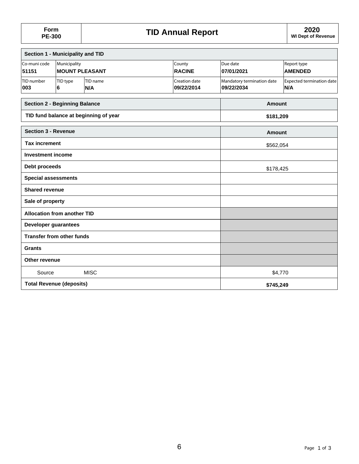| Section 1 - Municipality and TID     |                                       |                                       |                             |                                          |                                  |  |  |
|--------------------------------------|---------------------------------------|---------------------------------------|-----------------------------|------------------------------------------|----------------------------------|--|--|
| Co-muni code<br>51151                | Municipality<br><b>MOUNT PLEASANT</b> |                                       | County<br><b>RACINE</b>     | Due date<br>07/01/2021                   | Report type<br><b>AMENDED</b>    |  |  |
| TID number<br>003                    | TID type<br>6                         | TID name<br>N/A                       | Creation date<br>09/22/2014 | Mandatory termination date<br>09/22/2034 | Expected termination date<br>N/A |  |  |
| <b>Section 2 - Beginning Balance</b> |                                       |                                       |                             | Amount                                   |                                  |  |  |
|                                      |                                       | TID fund balance at beginning of year |                             | \$181,209                                |                                  |  |  |
| <b>Section 3 - Revenue</b>           |                                       |                                       |                             | <b>Amount</b>                            |                                  |  |  |
| <b>Tax increment</b>                 |                                       |                                       |                             | \$562,054                                |                                  |  |  |
| <b>Investment income</b>             |                                       |                                       |                             |                                          |                                  |  |  |
| Debt proceeds                        |                                       |                                       |                             |                                          | \$178,425                        |  |  |
| <b>Special assessments</b>           |                                       |                                       |                             |                                          |                                  |  |  |
| <b>Shared revenue</b>                |                                       |                                       |                             |                                          |                                  |  |  |
| Sale of property                     |                                       |                                       |                             |                                          |                                  |  |  |
| <b>Allocation from another TID</b>   |                                       |                                       |                             |                                          |                                  |  |  |
| Developer guarantees                 |                                       |                                       |                             |                                          |                                  |  |  |
| <b>Transfer from other funds</b>     |                                       |                                       |                             |                                          |                                  |  |  |
| <b>Grants</b>                        |                                       |                                       |                             |                                          |                                  |  |  |
| Other revenue                        |                                       |                                       |                             |                                          |                                  |  |  |
| Source                               |                                       | <b>MISC</b>                           |                             |                                          | \$4,770                          |  |  |
| <b>Total Revenue (deposits)</b>      |                                       |                                       | \$745,249                   |                                          |                                  |  |  |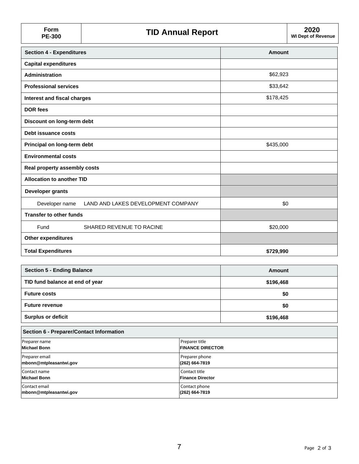| Form<br><b>PE-300</b>            | <b>TID Annual Report</b>           |           | 2020<br><b>WI Dept of Revenue</b> |
|----------------------------------|------------------------------------|-----------|-----------------------------------|
| <b>Section 4 - Expenditures</b>  |                                    | Amount    |                                   |
| <b>Capital expenditures</b>      |                                    |           |                                   |
| Administration                   |                                    | \$62,923  |                                   |
| <b>Professional services</b>     |                                    | \$33,642  |                                   |
| Interest and fiscal charges      |                                    | \$178,425 |                                   |
| <b>DOR fees</b>                  |                                    |           |                                   |
| Discount on long-term debt       |                                    |           |                                   |
| Debt issuance costs              |                                    |           |                                   |
| Principal on long-term debt      |                                    | \$435,000 |                                   |
| <b>Environmental costs</b>       |                                    |           |                                   |
| Real property assembly costs     |                                    |           |                                   |
| <b>Allocation to another TID</b> |                                    |           |                                   |
| Developer grants                 |                                    |           |                                   |
| Developer name                   | LAND AND LAKES DEVELOPMENT COMPANY | \$0       |                                   |
| <b>Transfer to other funds</b>   |                                    |           |                                   |
| Fund                             | SHARED REVENUE TO RACINE           | \$20,000  |                                   |
| Other expenditures               |                                    |           |                                   |
| <b>Total Expenditures</b>        |                                    | \$729,990 |                                   |

| Section 5 - Ending Balance      | Amount    |
|---------------------------------|-----------|
| TID fund balance at end of year | \$196,468 |
| <b>Future costs</b>             | \$0       |
| <b>Future revenue</b>           | \$0       |
| <b>Surplus or deficit</b>       | \$196,468 |

| <b>Section 6 - Preparer/Contact Information</b> |                         |  |  |  |  |
|-------------------------------------------------|-------------------------|--|--|--|--|
| Preparer name                                   | Preparer title          |  |  |  |  |
| <b>Michael Bonn</b>                             | <b>FINANCE DIRECTOR</b> |  |  |  |  |
| Preparer email                                  | Preparer phone          |  |  |  |  |
| mbonn@mtpleasantwi.gov                          | (262) 664-7819          |  |  |  |  |
| Contact name                                    | Contact title           |  |  |  |  |
| <b>Michael Bonn</b>                             | <b>Finance Director</b> |  |  |  |  |
| Contact email                                   | Contact phone           |  |  |  |  |
| mbonn@mtpleasantwi.gov                          | (262) 664-7819          |  |  |  |  |